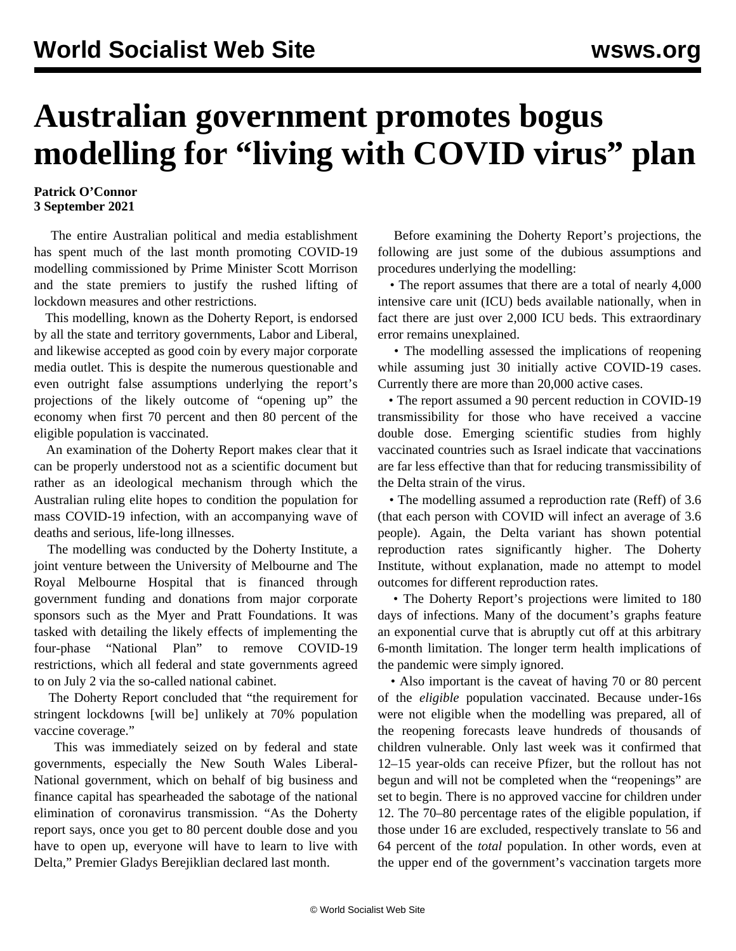## **Australian government promotes bogus modelling for "living with COVID virus" plan**

## **Patrick O'Connor 3 September 2021**

 The entire Australian political and media establishment has spent much of the last month promoting COVID-19 modelling commissioned by Prime Minister Scott Morrison and the state premiers to justify the rushed lifting of lockdown measures and other restrictions.

 This modelling, known as the Doherty Report, is endorsed by all the state and territory governments, Labor and Liberal, and likewise accepted as good coin by every major corporate media outlet. This is despite the numerous questionable and even outright false assumptions underlying the report's projections of the likely outcome of "opening up" the economy when first 70 percent and then 80 percent of the eligible population is vaccinated.

 An examination of the Doherty Report makes clear that it can be properly understood not as a scientific document but rather as an ideological mechanism through which the Australian ruling elite hopes to condition the population for mass COVID-19 infection, with an accompanying wave of deaths and serious, life-long illnesses.

 The modelling was conducted by the Doherty Institute, a joint venture between the University of Melbourne and The Royal Melbourne Hospital that is financed through government funding and donations from major corporate sponsors such as the Myer and Pratt Foundations. It was tasked with detailing the likely effects of implementing the four-phase "National Plan" to remove COVID-19 restrictions, which all federal and state governments agreed to on July 2 via the so-called national cabinet.

 The Doherty Report concluded that "the requirement for stringent lockdowns [will be] unlikely at 70% population vaccine coverage."

 This was immediately seized on by federal and state governments, especially the New South Wales Liberal-National government, which on behalf of big business and finance capital has spearheaded the sabotage of the national elimination of coronavirus transmission. "As the Doherty report says, once you get to 80 percent double dose and you have to open up, everyone will have to learn to live with Delta," Premier Gladys Berejiklian declared last month.

 Before examining the Doherty Report's projections, the following are just some of the dubious assumptions and procedures underlying the modelling:

 • The report assumes that there are a total of nearly 4,000 intensive care unit (ICU) beds available nationally, when in fact there are just over 2,000 ICU beds. This extraordinary error remains unexplained.

 • The modelling assessed the implications of reopening while assuming just 30 initially active COVID-19 cases. Currently there are more than 20,000 active cases.

 • The report assumed a 90 percent reduction in COVID-19 transmissibility for those who have received a vaccine double dose. Emerging scientific studies from highly vaccinated countries such as Israel indicate that vaccinations are far less effective than that for reducing transmissibility of the Delta strain of the virus.

 • The modelling assumed a reproduction rate (Reff) of 3.6 (that each person with COVID will infect an average of 3.6 people). Again, the Delta variant has shown potential reproduction rates significantly higher. The Doherty Institute, without explanation, made no attempt to model outcomes for different reproduction rates.

 • The Doherty Report's projections were limited to 180 days of infections. Many of the document's graphs feature an exponential curve that is abruptly cut off at this arbitrary 6-month limitation. The longer term health implications of the pandemic were simply ignored.

 • Also important is the caveat of having 70 or 80 percent of the *eligible* population vaccinated. Because under-16s were not eligible when the modelling was prepared, all of the reopening forecasts leave hundreds of thousands of children vulnerable. Only last week was it confirmed that 12–15 year-olds can receive Pfizer, but the rollout has not begun and will not be completed when the "reopenings" are set to begin. There is no approved vaccine for children under 12. The 70–80 percentage rates of the eligible population, if those under 16 are excluded, respectively translate to 56 and 64 percent of the *total* population. In other words, even at the upper end of the government's vaccination targets more